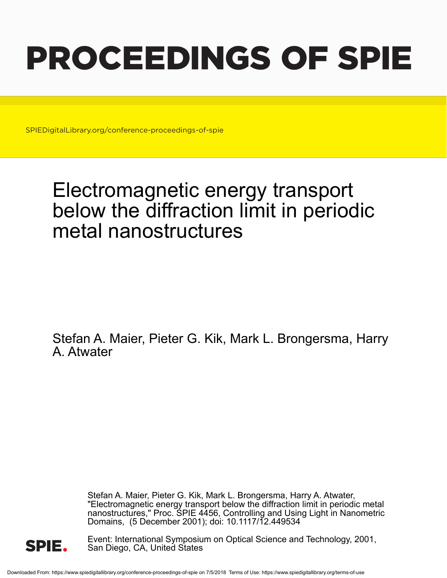# PROCEEDINGS OF SPIE

SPIEDigitalLibrary.org/conference-proceedings-of-spie

# Electromagnetic energy transport below the diffraction limit in periodic metal nanostructures

Stefan A. Maier, Pieter G. Kik, Mark L. Brongersma, Harry A. Atwater

> Stefan A. Maier, Pieter G. Kik, Mark L. Brongersma, Harry A. Atwater, "Electromagnetic energy transport below the diffraction limit in periodic metal nanostructures," Proc. SPIE 4456, Controlling and Using Light in Nanometric Domains, (5 December 2001); doi: 10.1117/12.449534



Event: International Symposium on Optical Science and Technology, 2001, San Diego, CA, United States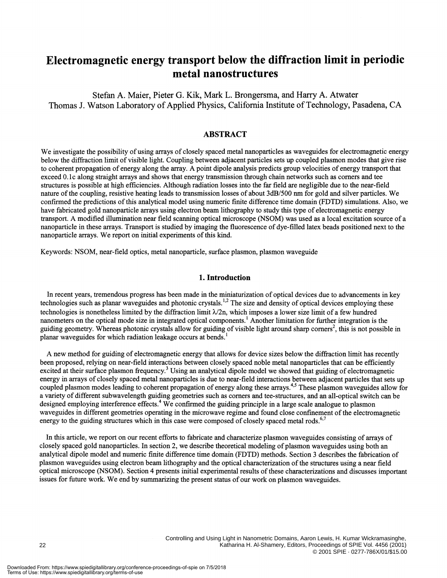## Electromagnetic energy transport below the diffraction limit in periodic metal nanostructures

Stefan A. Maier, Pieter G. Kik, Mark L. Brongersma, and Harry A. Atwater Thomas J. Watson Laboratory of Applied Physics, California Institute of Technology, Pasadena, CA

#### ABSTRACT

We investigate the possibility of using arrays of closely spaced metal nanoparticles as waveguides for electromagnetic energy below the diffraction limit of visible light. Coupling between adjacent particles sets up coupled plasmon modes that give rise to coherent propagation of energy along the array. A point dipole analysis predicts group velocities of energy transport that exceed 0. ic along straight arrays and shows that energy transmission through chain networks such as corners and tee structures is possible at high efficiencies. Although radiation losses into the far field are negligible due to the near-field nature of the coupling, resistive heating leads to transmission losses of about 3dB/500 nm for gold and silver particles. We confirmed the predictions ofthis analytical model using numeric finite difference time domain (FDTD) simulations. Also, we have fabricated gold nanoparticle arrays using electron beam lithography to study this type of electromagnetic energy transport. A modified illumination near field scanning optical microscope (NSOM) was used as a local excitation source of a nanoparticle in these arrays. Transport is studied by imaging the fluorescence of dye-filled latex beads positioned next to the nanoparticle arrays. We report on initial experiments of this kind.

Keywords: NSOM, near-field optics, metal nanoparticle, surface plasmon, plasmon waveguide

#### 1. Introduction

In recent years, tremendous progress has been made in the miniaturization of optical devices due to advancements in key technologies such as planar waveguides and photonic crystals.<sup>1,2</sup> The size and density of optical devices employing these technologies is nonetheless limited by the diffraction limit  $\lambda/2n$ , which imposes a lower size limit of a few hundred nanometers on the optical mode size in integrated optical components.' Another limitation for further integration is the guiding geometry. Whereas photonic crystals allow for guiding of visible light around sharp corners<sup>2</sup>, this is not possible in planar waveguides for which radiation leakage occurs at bends.'

A new method for guiding of electromagnetic energy that allows for device sizes below the diffraction limit has recently been proposed, relying on near-field interactions between closely spaced noble metal nanoparticles that can be efficiently excited at their surface plasmon frequency.<sup>3</sup> Using an analytical dipole model we showed that guiding of electromagnetic energy in arrays of closely spaced metal nanoparticles is due to near-field interactions between adjacent particles that sets up coupled plasmon modes leading to coherent propagation of energy along these arrays.4'5 These plasmon waveguides allow for a variety of different subwavelength guiding geometries such as corners and tee-structures, and an all-optical switch can be designed employing interference effects.<sup>4</sup> We confirmed the guiding principle in a large scale analogue to plasmon waveguides in different geometries operating in the microwave regime and found close confmement of the electromagnetic energy to the guiding structures which in this case were composed of closely spaced metal rods.<sup>6,7</sup>

In this article, we report on our recent efforts to fabricate and characterize plasmon waveguides consisting of arrays of closely spaced gold nanoparticles. In section 2, we describe theoretical modeling of plasmon waveguides using both an analytical dipole model and numeric finite difference time domain (FDTD) methods. Section 3 describes the fabrication of plasmon waveguides using electron beam lithography and the optical characterization of the structures using a near field optical microscope (NSOM). Section 4 presents initial experimental results of these characterizations and discusses important issues for future work. We end by summarizing the present status of our work on plasmon waveguides.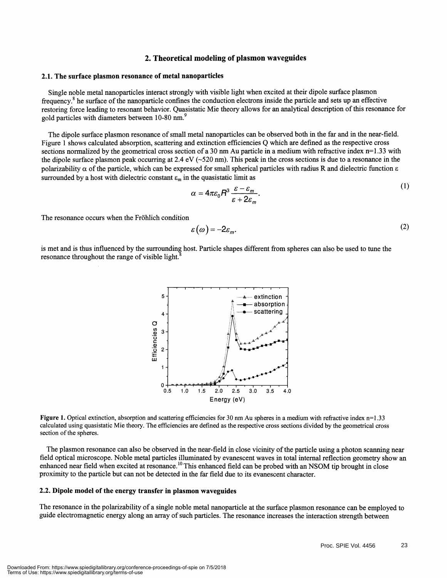#### 2. Theoretical modeling of plasmon waveguides

#### 2.1. The surface plasmon resonance of metal nanoparticles

Single noble metal nanoparticles interact strongly with visible light when excited at their dipole surface plasmon frequency.<sup>8</sup> he surface of the nanoparticle confines the conduction electrons inside the particle and sets up an effective restoring force leading to resonant behavior. Quasistatic Mie theory allows for an analytical description of this resonance for gold particles with diameters between 10-80 nm.<sup>9</sup>

The dipole surface plasmon resonance of small metal nanoparticles can be observed both in the far and in the near-field. Figure 1 shows calculated absorption, scattering and extinction efficiencies Q which are defined as the respective cross sections normalized by the geometrical cross section of a 30 nm Au particle in a medium with refractive index  $n=1.33$  with the dipole surface plasmon peak occurring at 2.4 eV ( $\sim$ 520 nm). This peak in the cross sections is due to a resonance in the polarizability  $\alpha$  of the particle, which can be expressed for small spherical particles with radius R and dielectric function  $\varepsilon$ surrounded by a host with dielectric constant  $\varepsilon_m$  in the quasistatic limit as

$$
\alpha = 4\pi\varepsilon_0 R^3 \frac{\varepsilon - \varepsilon_m}{\varepsilon + 2\varepsilon_m}.
$$

The resonance occurs when the Fröhlich condition

$$
\varepsilon(\omega) = -2\varepsilon_m. \tag{2}
$$

is met and is thus influenced by the surrounding host. Particle shapes different from spheres can also be used to tune the resonance throughout the range of visible light.<sup>8</sup>



Figure 1. Optical extinction, absorption and scattering efficiencies for 30 nm Au spheres in a medium with refractive index n=1.33 calculated using quasistatic Mie theory. The efficiencies are defined as the respective cross sections divided by the geometrical cross section of the spheres.

The plasmon resonance can also be observed in the near-field in close vicinity of the particle using a photon scanning near field optical microscope. Noble metal particles illuminated by evanescent waves in total internal reflection geometry show an enhanced near field when excited at resonance.<sup>10</sup> This enhanced field can be probed with an NSOM tip brought in close proximity to the particle but can not be detected in the far field due to its evanescent character.

#### 2.2. Dipole model of the energy transfer in plasmon waveguides

The resonance in the polarizability of a single noble metal nanoparticle at the surface plasmon resonance can be employed to guide electromagnetic energy along an array of such particles. The resonance increases the interaction strength between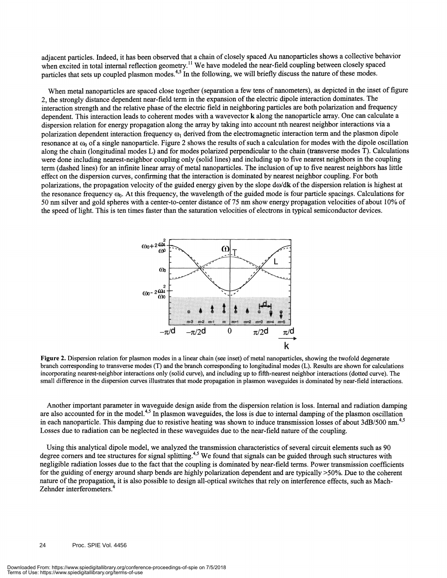adjacent particles. Indeed, it has been observed that a chain of closely spaced Au nanoparticles shows a collective behavior when excited in total internal reflection geometry.<sup>"</sup> We have modeled the near-field coupling between closely spaced particles that sets up coupled plasmon modes.<sup>4,5</sup> In the following, we will briefly discuss the nature of these modes.

When metal nanoparticles are spaced close together (separation a few tens of nanometers), as depicted in the inset of figure 2, the strongly distance dependent near-field term in the expansion of the electric dipole interaction dominates. The interaction strength and the relative phase of the electric field in neighboring particles are both polarization and frequency dependent. This interaction leads to coherent modes with a wavevector k along the nanoparticle array. One can calculate a dispersion relation for energy propagation along the array by taking into account nth nearest neighbor interactions via a polarization dependent interaction frequency  $\omega_1$  derived from the electromagnetic interaction term and the plasmon dipole resonance at  $\omega_0$  of a single nanoparticle. Figure 2 shows the results of such a calculation for modes with the dipole oscillation along the chain (longitudinal modes L) and for modes polarized perpendicular to the chain (transverse modes T). Calculations were done including nearest-neighbor coupling only (solid lines) and including up to five nearest neighbors in the coupling term (dashed lines) for an infinite linear array of metal nanoparticles. The inclusion of up to five nearest neighbors has little effect on the dispersion curves, confirming that the interaction is dominated by nearest neighbor coupling. For both polarizations, the propagation velocity of the guided energy given by the slope  $d\omega/dk$  of the dispersion relation is highest at the resonance frequency  $\omega_0$ . At this frequency, the wavelength of the guided mode is four particle spacings. Calculations for 50 nm silver and gold spheres with a center-to-center distance of 75 nm show energy propagation velocities of about 10% of the speed oflight. This is ten times faster than the saturation velocities of electrons in typical semiconductor devices.



Figure 2. Dispersion relation for plasmon modes in a linear chain (see inset) of metal nanoparticles, showing the twofold degenerate branch corresponding to transverse modes (T) and the branch corresponding to longitudinal modes (L). Results are shown for calculations incorporating nearest-neighbor interactions only (solid curve), and including up to fifth-nearest neighbor interactions (dotted curve). The small difference in the dispersion curves illustrates that mode propagation in plasmon waveguides is dominated by near-field interactions.

Another important parameter in waveguide design aside from the dispersion relation is loss. Internal and radiation damping are also accounted for in the model.<sup>4,5</sup> In plasmon waveguides, the loss is due to internal damping of the plasmon oscillation in each nanoparticle. This damping due to resistive heating was shown to induce transmission losses of about  $3dB/500$  nm.<sup>4,5</sup> Losses due to radiation can be neglected in these waveguides due to the near-field nature of the coupling.

Using this analytical dipole model, we analyzed the transmission characteristics of several circuit elements such as 90 degree corners and tee structures for signal splitting.<sup>4,5</sup> We found that signals can be guided through such structures with negligible radiation losses due to the fact that the coupling is dominated by near-field terms. Power transmission coefficients for the guiding of energy around sharp bends are highly polarization dependent and are typically >50%. Due to the coherent nature of the propagation, it is also possible to design all-optical switches that rely on interference effects, such as Mach-Zehnder interferometers.<sup>4</sup>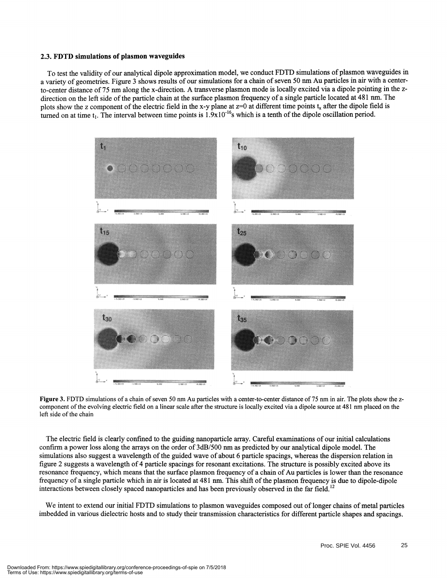#### 2.3. FDTD simulations of plasmon waveguides

To test the validity of our analytical dipole approximation model, we conduct FDTD simulations ofplasmon waveguides in a variety of geometries. Figure 3 shows results of our simulations for a chain of seven 50 mn Au particles in air with a centerto-center distance of 75 nm along the x-direction. A transverse plasmon mode is locally excited via a dipole pointing in the zdirection on the left side of the particle chain at the surface plasmon frequency of a single particle located at 481 nm. The plots show the z component of the electric field in the x-y plane at  $z=0$  at different time points  $t_x$  after the dipole field is turned on at time  $t_1$ . The interval between time points is  $1.9x10^{-16}$ s which is a tenth of the dipole oscillation period.



Figure 3. FDTD simulations of a chain of seven 50 nm Au particles with a center-to-center distance of 75 nm in air. The plots show the zcomponent of the evolving electric field on a linear scale after the structure is locally excited via a dipole source at 48 1 nm placed on the left side of the chain

The electric field is clearly confmed to the guiding nanoparticle array. Careful examinations of our initial calculations confirm a power loss along the arrays on the order of 3dB/500 nm as predicted by our analytical dipole model. The simulations also suggest a wavelength of the guided wave of about 6 particle spacings, whereas the dispersion relation in figure 2 suggests a wavelength of4 particle spacings for resonant excitations. The structure is possibly excited above its resonance frequency, which means that the surface plasmon frequency of a chain of Au particles is lower than the resonance frequency of a single particle which in air is located at 481 nm. This shift of the plasmon frequency is due to dipole-dipole interactions between closely spaced nanoparticles and has been previously observed in the far field. 12

We intent to extend our initial FDTD simulations to plasmon waveguides composed out of longer chains of metal particles imbedded in various dielectric hosts and to study their transmission characteristics for different particle shapes and spacings.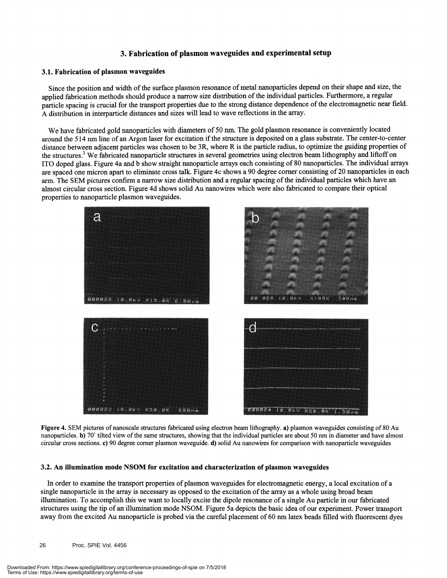#### 3. Fabrication of plasmon waveguides and experimental setup

#### 3.1. Fabrication of plasmon waveguides

Since the position and width of the surface plasmon resonance of metal nanoparticles depend on their shape and size, the applied fabrication methods should produce a narrow size distribution of the individual particles. Furthermore, a regular particle spacing is crucial for the transport properties due to the strong distance dependence of the electromagnetic near field. A distribution in interparticle distances and sizes will lead to wave reflections in the array.

We have fabricated gold nanoparticles with diameters of 50 nm. The gold plasmon resonance is conveniently located around the 514 nm line of an Argon laser for excitation if the structure is deposited on a glass substrate. The center-to-center distance between adjacent particles was chosen to be 3R, where R is the particle radius, to optimize the guiding properties of the structures.<sup>3</sup> We fabricated nanoparticle structures in several geometries using electron beam lithography and liftoff on ITO doped glass. Figure 4a and b show straight nanoparticle arrays each consisting of 80 nanoparticles. The individual arrays are spaced one micron apart to eliminate cross talk. Figure 4c shows a 90 degree corner consisting of 20 nanoparticles in each arm. The SEM pictures confirm a narrow size distribution and a regular spacing of the individual particles which have an almost circular cross section. Figure 4d shows solid Au nanowires which were also fabricated to compare their optical properties to nanoparticle plasmon waveguides.



Figure 4. SEM pictures of nanoscale structures fabricated using electron beam lithography. a) plasmon waveguides consisting of 80 Au nanoparticles. b) 70° tilted view of the same structures, showing that the individual particles are about 50 nm in diameter and have almost circular cross sections. c) 90 degree corner plasmon waveguide. d) solid Au nanowires for comparison with nanoparticle waveguides

#### 3.2. An illumination mode NSOM for excitation and characterization of plasmon waveguides

In order to examine the transport properties of plasmon waveguides for electromagnetic energy, a local excitation of a single nanoparticle in the array is necessary as opposed to the excitation of the array as a whole using broad beam illumination. To accomplish this we want to locally excite the dipole resonance of a single Au particle in our fabricated structures using the tip of an illumination mode NSOM. Figure 5a depicts the basic idea of our experiment. Power transport away from the excited Au nanoparticle is probed via the careful placement of 60 nm latex beads filled with fluorescent dyes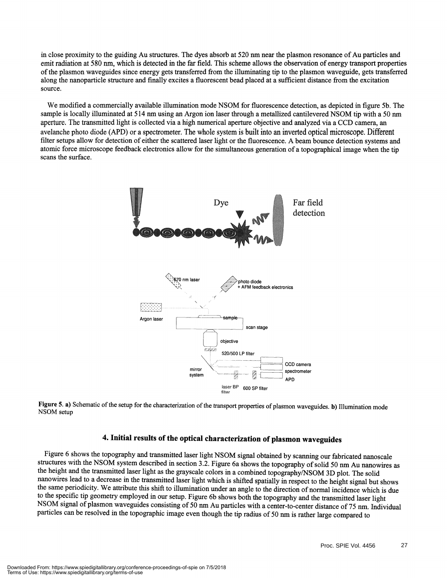in close proximity to the guiding Au structures. The dyes absorb at 520 nm near the plasmon resonance of Au particles and emit radiation at 580 nm, which is detected in the far field. This scheme allows the observation of energy transport properties ofthe plasmon waveguides since energy gets transferred from the illuminating tip to the plasmon waveguide, gets transferred along the nanoparticle structure and finally excites a fluorescent bead placed at a sufficient distance from the excitation source.

We modified a commercially available illumination mode NSOM for fluorescence detection, as depicted in figure Sb. The sample is locally illuminated at 514 nm using an Argon ion laser through a metallized cantilevered NSOM tip with a 50 nm aperture. The transmitted light is collected via a high numerical aperture objective and analyzed via a CCD camera, an avelanche photo diode (APD) or a spectrometer. The whole system is built into an inverted optical microscope. Different filter setups allow for detection of either the scattered laser light or the fluorescence. A beam bounce detection systems and atomic force microscope feedback electronics allow for the simultaneous generation of a topographical image when the tip scans the surface.



Figure 5. a) Schematic of the setup for the characterization of the transport properties of plasmon waveguides. b) Illumination mode NSOM setup

### 4. Initial results of the optical characterization of plasmon waveguides

Figure 6 shows the topography and transmitted laser light NSOM signal obtained by scanning our fabricated nanoscale structures with the NSOM system described in section 3.2. Figure 6a shows the topography of solid 50 nm Au nanowires as the height and the transmitted laser light as the grayscale colors in a combined topography/NSOM 3D plot. The solid nanowires lead to a decrease in the transmitted laser light which is shifted spatially in respect to the height signal but shows the same periodicity. We attribute this shift to illumination under an angle to the direction of normal incidence which is due to the specific tip geometry employed in our setup. Figure 6b shows both the topography and the transmitted laser light NSOM signal of plasmon waveguides consisting of 50 nm Au particles with a center-to-center distance of 75 nm. Individual particles can be resolved in the topographic image even though the tip radius of 50 nm is rather large compared to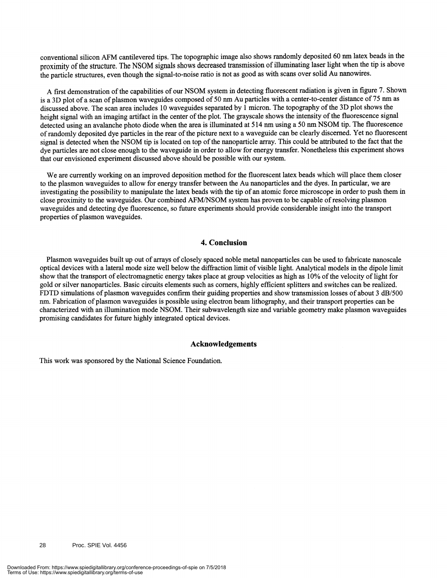conventional silicon AFM cantilevered tips. The topographic image also shows randomly deposited 60 nm latex beads in the proximity of the structure. The NSOM signals shows decreased transmission of illuminating laser light when the tip is above the particle structures, even though the signal-to-noise ratio is not as good as with scans over solid Au nanowires.

A first demonstration of the capabilities of our NSOM system in detecting fluorescent radiation is given in figure 7. Shown is a 3D plot of a scan of plasmon waveguides composed of 50 nm Au particles with a center-to-center distance of 75 nm as discussed above. The scan area includes 10 waveguides separated by 1 micron. The topography ofthe 3D plot shows the height signal with an imaging artifact in the center of the plot. The grayscale shows the intensity of the fluorescence signal detected using an avalanche photo diode when the area is illuminated at 514 nm using a 50 nm NSOM tip. The fluorescence ofrandomly deposited dye particles in the rear ofthe picture next to a waveguide can be clearly discerned. Yet no fluorescent signal is detected when the NSOM tip is located on top of the nanoparticle array. This could be attributed to the fact that the dye particles are not close enough to the waveguide in order to allow for energy transfer. Nonetheless this experiment shows that our envisioned experiment discussed above should be possible with our system.

We are currently working on an improved deposition method for the fluorescent latex beads which will place them closer to the plasmon waveguides to allow for energy transfer between the Au nanoparticles and the dyes. In particular, we are investigating the possibility to manipulate the latex beads with the tip of an atomic force microscope in order to push them in close proximity to the waveguides. Our combined AFMINSOM system has proven to be capable ofresolving plasmon waveguides and detecting dye fluorescence, so future experiments should provide considerable insight into the transport properties of plasmon waveguides.

#### 4. Conclusion

Plasmon waveguides built up out of arrays of closely spaced noble metal nanoparticles can be used to fabricate nanoscale optical devices with a lateral mode size well below the diffraction limit of visible light. Analytical models in the dipole limit show that the transport of electromagnetic energy takes place at group velocities as high as 10% of the velocity of light for gold or silver nanoparticles. Basic circuits elements such as corners, highly efficient splitters and switches can be realized. FDTD simulations of plasmon waveguides confirm their guiding properties and show transmission losses of about 3 dB/500 nm. Fabrication of plasmon waveguides is possible using electron beam lithography, and their transport properties can be characterized with an illumination mode NSOM. Their subwavelength size and variable geometry make plasmon waveguides promising candidates for future highly integrated optical devices.

#### Acknowledgements

This work was sponsored by the National Science Foundation.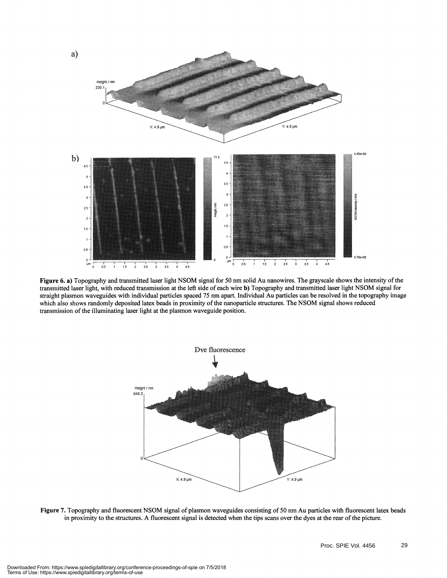

Figure 6. a) Topography and transmitted laser light NSOM signal for 50 nm solid Au nanowires. The grayscale shows the intensity of the transmitted laser light, with reduced transmission at the left side ofeach wire b) Topography and transmitted laser light NSOM signal for straight plasmon waveguides with individual particles spaced 75 nmapart. Individual Au particles can be resolved in the topography image which also shows randomly deposited latex beads in proximity of the nanoparticle structures. The NSOM signal shows reduced transmission of the illuminating laser light at the plasmon waveguide position.



Figure 7. Topography and fluorescent NSOM signal of plasmon waveguides consisting of 50 nm Au particles with fluorescent latex beads in proximity to the structures. A fluorescent signal is detected when the tips scans over the dyes at the rear of the picture.